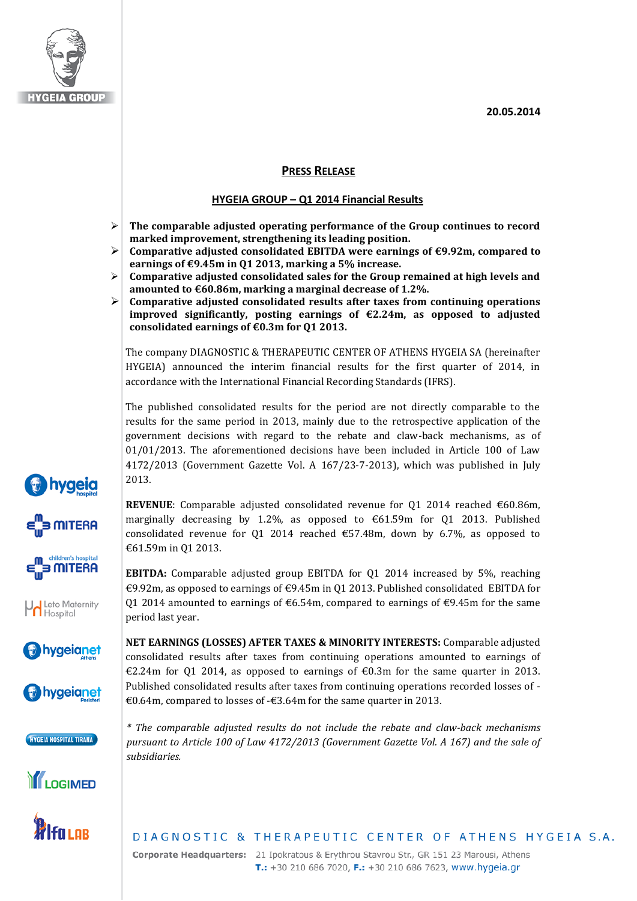**20.05.2014**



### **PRESS RELEASE**

#### **HYGEIA GROUP – Q1 2014 Financial Results**

- **The comparable adjusted operating performance of the Group continues to record marked improvement, strengthening its leading position.**
- **Comparative adjusted consolidated EBITDA were earnings of €9.92m, compared to earnings of €9.45m in Q1 2013, marking a 5% increase.**
- **Comparative adjusted consolidated sales for the Group remained at high levels and amounted to €60.86m, marking a marginal decrease of 1.2%.**
- **Comparative adjusted consolidated results after taxes from continuing operations improved significantly, posting earnings of €2.24m, as opposed to adjusted consolidated earnings of €0.3m for Q1 2013.**

The company DIAGNOSTIC & THERAPEUTIC CENTER OF ATHENS HYGEIA SA (hereinafter HYGEIA) announced the interim financial results for the first quarter of 2014, in accordance with the International Financial Recording Standards (IFRS).

The published consolidated results for the period are not directly comparable to the results for the same period in 2013, mainly due to the retrospective application of the government decisions with regard to the rebate and claw-back mechanisms, as of 01/01/2013. The aforementioned decisions have been included in Article 100 of Law 4172/2013 (Government Gazette Vol. A 167/23-7-2013), which was published in July 2013.

**REVENUE:** Comparable adjusted consolidated revenue for 01 2014 reached  $\epsilon$ 60.86m, marginally decreasing by 1.2%, as opposed to  $\text{\textsterling}61.59m$  for Q1 2013. Published consolidated revenue for 01 2014 reached  $\epsilon$ 57.48m, down by 6.7%, as opposed to €61.59m in Q1 2013.

**EBITDA:** Comparable adjusted group EBITDA for Q1 2014 increased by 5%, reaching €9.92m, as opposed to earnings of  $€9.45m$  in Q1 2013. Published consolidated EBITDA for Q1 2014 amounted to earnings of  $\epsilon$ 6.54m, compared to earnings of  $\epsilon$ 9.45m for the same period last year.

**NET EARNINGS (LOSSES) AFTER TAXES & MINORITY INTERESTS:** Comparable adjusted consolidated results after taxes from continuing operations amounted to earnings of €2.24m for Q1 2014, as opposed to earnings of €0.3m for the same quarter in 2013. Published consolidated results after taxes from continuing operations recorded losses of - €0.64m, compared to losses of -€3.64m for the same quarter in 2013.

*\* The comparable adjusted results do not include the rebate and claw-back mechanisms pursuant to Article 100 of Law 4172/2013 (Government Gazette Vol. A 167) and the sale of subsidiaries.*

# DIAGNOSTIC & THERAPEUTIC CENTER OF ATHENS HYGEIA S.A.

Corporate Headquarters: 21 Ipokratous & Erythrou Stavrou Str., GR 151 23 Marousi, Athens T.: +30 210 686 7020, F.: +30 210 686 7623, www.hygeia.gr







**Vol** Leto Maternity<br>Hospital









lfa i or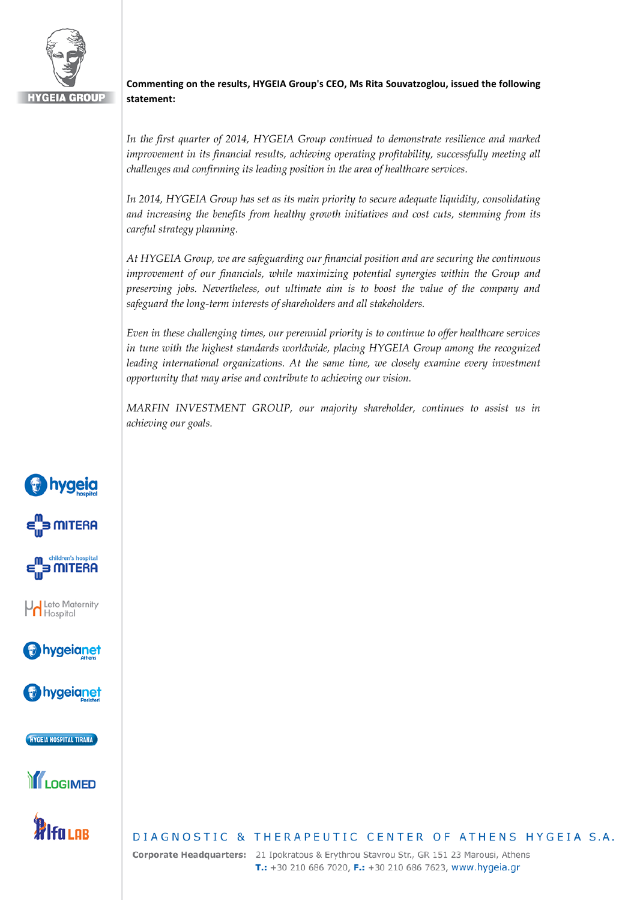

### **Commenting on the results, HYGEIA Group's CEO, Ms Rita Souvatzoglou, issued the following statement:**

*In the first quarter of 2014, HYGEIA Group continued to demonstrate resilience and marked improvement in its financial results, achieving operating profitability, successfully meeting all challenges and confirming its leading position in the area of healthcare services.* 

*In 2014, HYGEIA Group has set as its main priority to secure adequate liquidity, consolidating and increasing the benefits from healthy growth initiatives and cost cuts, stemming from its careful strategy planning.*

*At HYGEIA Group, we are safeguarding our financial position and are securing the continuous improvement of our financials, while maximizing potential synergies within the Group and preserving jobs. Nevertheless, out ultimate aim is to boost the value of the company and safeguard the long-term interests of shareholders and all stakeholders.*

*Even in these challenging times, our perennial priority is to continue to offer healthcare services in tune with the highest standards worldwide, placing HYGEIA Group among the recognized leading international organizations. At the same time, we closely examine every investment opportunity that may arise and contribute to achieving our vision.* 

*MARFIN INVESTMENT GROUP, our majority shareholder, continues to assist us in achieving our goals.*





**bygeianet** 

HYGEIA HOSPITAL TIRANA





## DIAGNOSTIC & THERAPEUTIC CENTER OF ATHENS HYGEIA S.A.

Corporate Headquarters: 21 Ipokratous & Erythrou Stavrou Str., GR 151 23 Marousi, Athens T.: +30 210 686 7020, F.: +30 210 686 7623, www.hygeia.gr